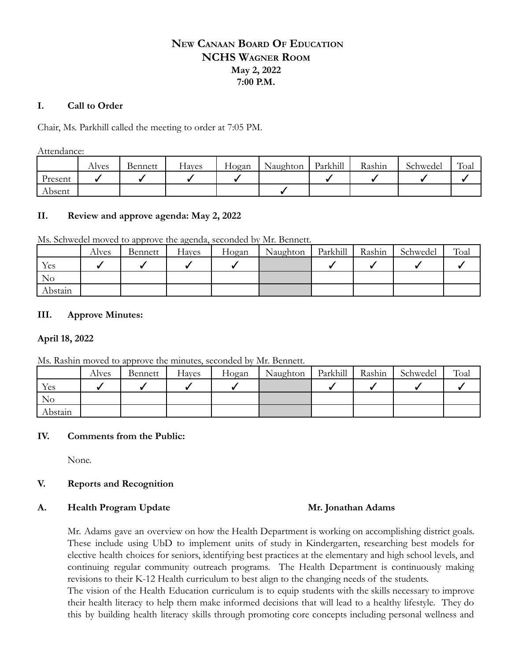# **NEW CANAAN BOARD OF EDUCATION NCHS WAGNER ROOM May 2, 2022 7:00 P.M.**

## **I. Call to Order**

Chair, Ms. Parkhill called the meeting to order at 7:05 PM.

Attendance:

|         | Alves | Bennett | Haves | Hogan | Naughton | Parkhill | Rashin | Schwedel | Toal |
|---------|-------|---------|-------|-------|----------|----------|--------|----------|------|
| Present |       |         |       |       |          |          |        |          |      |
| Absent  |       |         |       |       |          |          |        |          |      |

## **II. Review and approve agenda: May 2, 2022**

Ms. Schwedel moved to approve the agenda, seconded by Mr. Bennett.

|         | Alves | Bennett | Hayes | Hogan | Naughton | Parkhill | Rashin | Schwedel | Toal |
|---------|-------|---------|-------|-------|----------|----------|--------|----------|------|
| Yes     |       |         |       |       |          |          |        |          |      |
| No      |       |         |       |       |          |          |        |          |      |
| Abstain |       |         |       |       |          |          |        |          |      |

## **III. Approve Minutes:**

## **April 18, 2022**

Ms. Rashin moved to approve the minutes, seconded by Mr. Bennett.

|          | Alves | Bennett | Hayes | Hogan | Naughton | Parkhill | Rashin | Schwedel | Toal |
|----------|-------|---------|-------|-------|----------|----------|--------|----------|------|
| Yes      |       |         |       |       |          |          |        |          |      |
| $\rm No$ |       |         |       |       |          |          |        |          |      |
| Abstain  |       |         |       |       |          |          |        |          |      |

## **IV. Comments from the Public:**

None.

## **V. Reports and Recognition**

### **A. Health Program Update Mr. Jonathan Adams**

Mr. Adams gave an overview on how the Health Department is working on accomplishing district goals. These include using UbD to implement units of study in Kindergarten, researching best models for elective health choices for seniors, identifying best practices at the elementary and high school levels, and continuing regular community outreach programs. The Health Department is continuously making revisions to their K-12 Health curriculum to best align to the changing needs of the students.

The vision of the Health Education curriculum is to equip students with the skills necessary to improve their health literacy to help them make informed decisions that will lead to a healthy lifestyle. They do this by building health literacy skills through promoting core concepts including personal wellness and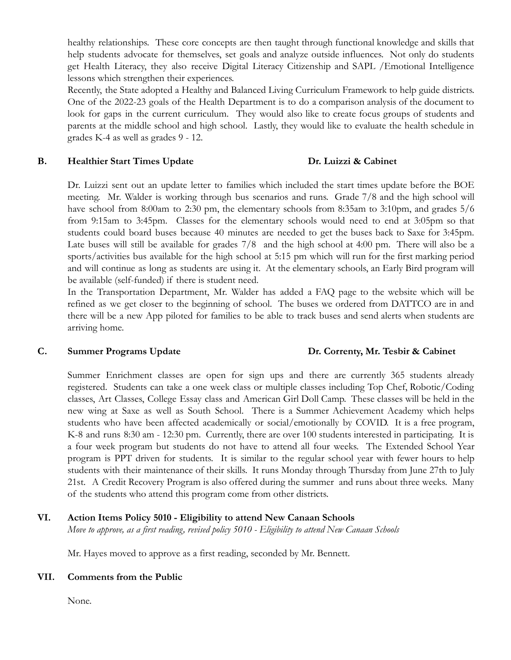healthy relationships. These core concepts are then taught through functional knowledge and skills that help students advocate for themselves, set goals and analyze outside influences. Not only do students get Health Literacy, they also receive Digital Literacy Citizenship and SAPL /Emotional Intelligence lessons which strengthen their experiences.

Recently, the State adopted a Healthy and Balanced Living Curriculum Framework to help guide districts. One of the 2022-23 goals of the Health Department is to do a comparison analysis of the document to look for gaps in the current curriculum. They would also like to create focus groups of students and parents at the middle school and high school. Lastly, they would like to evaluate the health schedule in grades K-4 as well as grades 9 - 12.

### **B. Healthier Start Times Update Dr. Luizzi & Cabinet**

Dr. Luizzi sent out an update letter to families which included the start times update before the BOE meeting. Mr. Walder is working through bus scenarios and runs. Grade 7/8 and the high school will have school from 8:00am to 2:30 pm, the elementary schools from 8:35am to 3:10pm, and grades  $5/6$ from 9:15am to 3:45pm. Classes for the elementary schools would need to end at 3:05pm so that students could board buses because 40 minutes are needed to get the buses back to Saxe for 3:45pm. Late buses will still be available for grades 7/8 and the high school at 4:00 pm. There will also be a sports/activities bus available for the high school at 5:15 pm which will run for the first marking period and will continue as long as students are using it. At the elementary schools, an Early Bird program will be available (self-funded) if there is student need.

In the Transportation Department, Mr. Walder has added a FAQ page to the website which will be refined as we get closer to the beginning of school. The buses we ordered from DATTCO are in and there will be a new App piloted for families to be able to track buses and send alerts when students are arriving home.

### **C. Summer Programs Update Dr. Correnty, Mr. Tesbir & Cabinet**

Summer Enrichment classes are open for sign ups and there are currently 365 students already registered. Students can take a one week class or multiple classes including Top Chef, Robotic/Coding classes, Art Classes, College Essay class and American Girl Doll Camp. These classes will be held in the new wing at Saxe as well as South School. There is a Summer Achievement Academy which helps students who have been affected academically or social/emotionally by COVID. It is a free program, K-8 and runs 8:30 am - 12:30 pm. Currently, there are over 100 students interested in participating. It is a four week program but students do not have to attend all four weeks. The Extended School Year program is PPT driven for students. It is similar to the regular school year with fewer hours to help students with their maintenance of their skills. It runs Monday through Thursday from June 27th to July 21st. A Credit Recovery Program is also offered during the summer and runs about three weeks. Many of the students who attend this program come from other districts.

## **VI. Action Items Policy 5010 - Eligibility to attend New Canaan Schools**

*Move to approve, as a first reading, revised policy 5010 - Eligibility to attend New Canaan Schools*

Mr. Hayes moved to approve as a first reading, seconded by Mr. Bennett.

### **VII. Comments from the Public**

None.